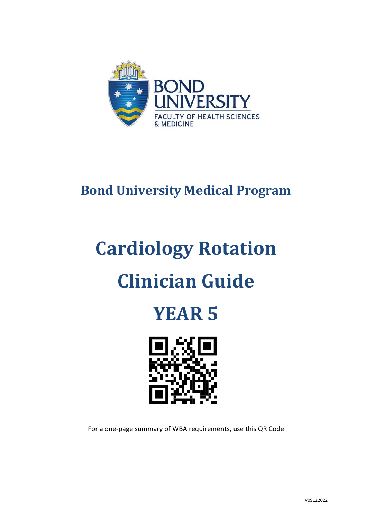

# **Bond University Medical Program**

# **Cardiology Rotation Clinician Guide**





For a one-page summary of WBA requirements, use this QR Code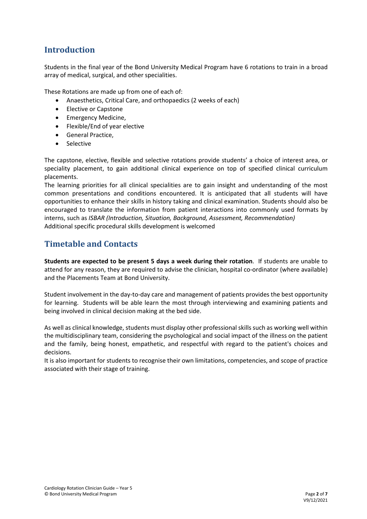### **Introduction**

Students in the final year of the Bond University Medical Program have 6 rotations to train in a broad array of medical, surgical, and other specialities.

These Rotations are made up from one of each of:

- Anaesthetics, Critical Care, and orthopaedics (2 weeks of each)
- Elective or Capstone
- Emergency Medicine,
- Flexible/End of year elective
- General Practice,
- **Selective**

The capstone, elective, flexible and selective rotations provide students' a choice of interest area, or speciality placement, to gain additional clinical experience on top of specified clinical curriculum placements.

The learning priorities for all clinical specialities are to gain insight and understanding of the most common presentations and conditions encountered. It is anticipated that all students will have opportunities to enhance their skills in history taking and clinical examination. Students should also be encouraged to translate the information from patient interactions into commonly used formats by interns, such as *ISBAR (Introduction, Situation, Background, Assessment, Recommendation)* Additional specific procedural skills development is welcomed

#### **Timetable and Contacts**

**Students are expected to be present 5 days a week during their rotation**. If students are unable to attend for any reason, they are required to advise the clinician, hospital co-ordinator (where available) and the Placements Team at Bond University.

Student involvement in the day-to-day care and management of patients provides the best opportunity for learning. Students will be able learn the most through interviewing and examining patients and being involved in clinical decision making at the bed side.

As well as clinical knowledge, students must display other professional skills such as working well within the multidisciplinary team, considering the psychological and social impact of the illness on the patient and the family, being honest, empathetic, and respectful with regard to the patient's choices and decisions.

It is also important for students to recognise their own limitations, competencies, and scope of practice associated with their stage of training.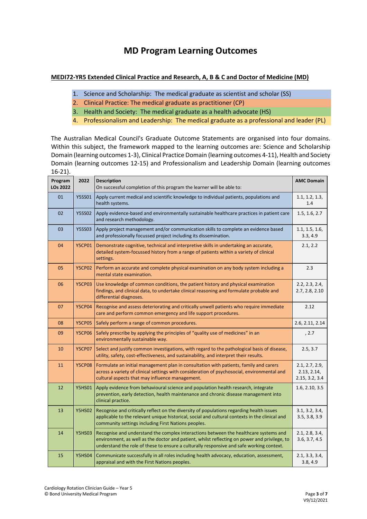# **MD Program Learning Outcomes**

#### **MEDI72-YR5 Extended Clinical Practice and Research, A, B & C and Doctor of Medicine (MD)**

- 1. Science and Scholarship: The medical graduate as scientist and scholar (SS)
- 2. Clinical Practice: The medical graduate as practitioner (CP)
- 3. Health and Society: The medical graduate as a health advocate (HS)
- 4. Professionalism and Leadership: The medical graduate as a professional and leader (PL)

The Australian Medical Council's Graduate Outcome Statements are organised into four domains. Within this subject, the framework mapped to the learning outcomes are: Science and Scholarship Domain (learning outcomes 1-3), Clinical Practice Domain (learning outcomes 4-11), Health and Society Domain (learning outcomes 12-15) and Professionalism and Leadership Domain (learning outcomes 16-21).

| 10 L1J.                    |               |                                                                                                                                                                                                                                                                                  |                                                 |
|----------------------------|---------------|----------------------------------------------------------------------------------------------------------------------------------------------------------------------------------------------------------------------------------------------------------------------------------|-------------------------------------------------|
| Program<br><b>LOs 2022</b> | 2022          | <b>Description</b><br>On successful completion of this program the learner will be able to:                                                                                                                                                                                      | <b>AMC Domain</b>                               |
| 01                         | <b>Y5SS01</b> | Apply current medical and scientific knowledge to individual patients, populations and<br>health systems.                                                                                                                                                                        |                                                 |
| 02                         | <b>Y5SS02</b> | Apply evidence-based and environmentally sustainable healthcare practices in patient care<br>and research methodology.                                                                                                                                                           | 1.5, 1.6, 2.7                                   |
| 03                         | <b>Y5SS03</b> | Apply project management and/or communication skills to complete an evidence based<br>and professionally focussed project including its dissemination.                                                                                                                           | 1.1, 1.5, 1.6,<br>3.3, 4.9                      |
| 04                         | <b>Y5CP01</b> | Demonstrate cognitive, technical and interpretive skills in undertaking an accurate,<br>detailed system-focussed history from a range of patients within a variety of clinical<br>settings.                                                                                      | 2.1, 2.2                                        |
| 05                         | <b>Y5CP02</b> | Perform an accurate and complete physical examination on any body system including a<br>mental state examination.                                                                                                                                                                | 2.3                                             |
| 06                         | <b>Y5CP03</b> | Use knowledge of common conditions, the patient history and physical examination<br>findings, and clinical data, to undertake clinical reasoning and formulate probable and<br>differential diagnoses.                                                                           | 2.2, 2.3, 2.4,<br>2.7, 2.8, 2.10                |
| 07                         | <b>Y5CP04</b> | Recognise and assess deteriorating and critically unwell patients who require immediate<br>care and perform common emergency and life support procedures.                                                                                                                        | 2.12                                            |
| 08                         | <b>Y5CP05</b> | Safely perform a range of common procedures.                                                                                                                                                                                                                                     | 2.6, 2.11, 2.14                                 |
| 09                         | <b>Y5CP06</b> | Safely prescribe by applying the principles of "quality use of medicines" in an<br>environmentally sustainable way.                                                                                                                                                              | , 2.7                                           |
| 10                         | <b>Y5CP07</b> | Select and justify common investigations, with regard to the pathological basis of disease,<br>utility, safety, cost-effectiveness, and sustainability, and interpret their results.                                                                                             | 2.5, 3.7                                        |
| 11                         | <b>Y5CP08</b> | Formulate an initial management plan in consultation with patients, family and carers<br>across a variety of clinical settings with consideration of psychosocial, environmental and<br>cultural aspects that may influence management.                                          | 2.1, 2.7, 2.9,<br>2.13, 2.14,<br>2.15, 3.2, 3.4 |
| 12                         | <b>Y5HS01</b> | Apply evidence from behavioural science and population health research, integrate<br>prevention, early detection, health maintenance and chronic disease management into<br>clinical practice.                                                                                   | 1.6, 2.10, 3.5                                  |
| 13                         | <b>Y5HS02</b> | Recognise and critically reflect on the diversity of populations regarding health issues<br>applicable to the relevant unique historical, social and cultural contexts in the clinical and<br>community settings including First Nations peoples.                                | 3.1, 3.2, 3.4,<br>3.5, 3.8, 3.9                 |
| 14                         | <b>Y5HS03</b> | Recognise and understand the complex interactions between the healthcare systems and<br>environment, as well as the doctor and patient, whilst reflecting on power and privilege, to<br>understand the role of these to ensure a culturally responsive and safe working context. | 2.1, 2.8, 3.4,<br>3.6, 3.7, 4.5                 |
| 15                         | <b>Y5HS04</b> | Communicate successfully in all roles including health advocacy, education, assessment,<br>appraisal and with the First Nations peoples.                                                                                                                                         |                                                 |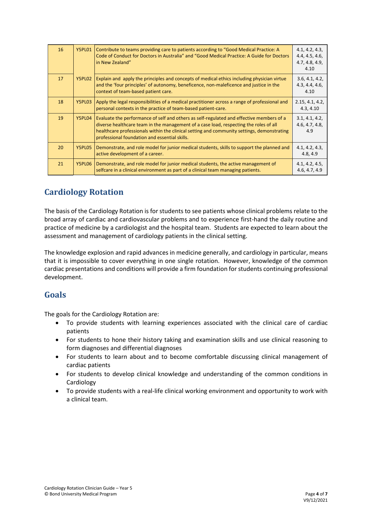| 16 | Y5PL01 | Contribute to teams providing care to patients according to "Good Medical Practice: A<br>Code of Conduct for Doctors in Australia" and "Good Medical Practice: A Guide for Doctors<br>in New Zealand"                                                                                                                            | 4.1, 4.2, 4.3,<br>4.4, 4.5, 4.6,<br>4.7, 4.8, 4.9,<br>4.10 |
|----|--------|----------------------------------------------------------------------------------------------------------------------------------------------------------------------------------------------------------------------------------------------------------------------------------------------------------------------------------|------------------------------------------------------------|
| 17 | Y5PL02 | Explain and apply the principles and concepts of medical ethics including physician virtue<br>and the 'four principles' of autonomy, beneficence, non-maleficence and justice in the<br>context of team-based patient care.                                                                                                      | 3.6, 4.1, 4.2,<br>4.3, 4.4, 4.6,<br>4.10                   |
| 18 | Y5PL03 | Apply the legal responsibilities of a medical practitioner across a range of professional and<br>personal contexts in the practice of team-based patient-care.                                                                                                                                                                   | 2.15, 4.1, 4.2,<br>4.3, 4.10                               |
| 19 | Y5PL04 | Evaluate the performance of self and others as self-regulated and effective members of a<br>diverse healthcare team in the management of a case load, respecting the roles of all<br>healthcare professionals within the clinical setting and community settings, demonstrating<br>professional foundation and essential skills. |                                                            |
| 20 | Y5PL05 | Demonstrate, and role model for junior medical students, skills to support the planned and<br>active development of a career.                                                                                                                                                                                                    | 4.1, 4.2, 4.3,<br>4.8, 4.9                                 |
| 21 | Y5PL06 | Demonstrate, and role model for junior medical students, the active management of<br>selfcare in a clinical environment as part of a clinical team managing patients.                                                                                                                                                            |                                                            |

# **Cardiology Rotation**

The basis of the Cardiology Rotation is for students to see patients whose clinical problems relate to the broad array of cardiac and cardiovascular problems and to experience first-hand the daily routine and practice of medicine by a cardiologist and the hospital team. Students are expected to learn about the assessment and management of cardiology patients in the clinical setting.

The knowledge explosion and rapid advances in medicine generally, and cardiology in particular, means that it is impossible to cover everything in one single rotation. However, knowledge of the common cardiac presentations and conditions will provide a firm foundation for students continuing professional development.

#### **Goals**

The goals for the Cardiology Rotation are:

- To provide students with learning experiences associated with the clinical care of cardiac patients
- For students to hone their history taking and examination skills and use clinical reasoning to form diagnoses and differential diagnoses
- For students to learn about and to become comfortable discussing clinical management of cardiac patients
- For students to develop clinical knowledge and understanding of the common conditions in Cardiology
- To provide students with a real-life clinical working environment and opportunity to work with a clinical team.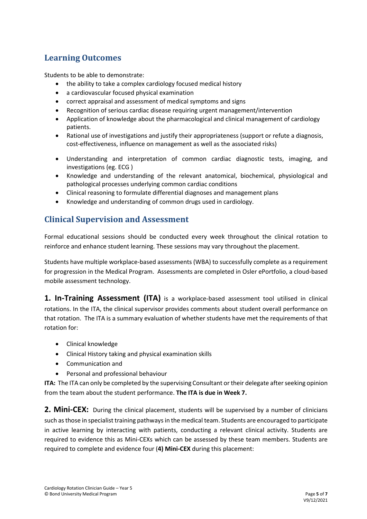#### **Learning Outcomes**

Students to be able to demonstrate:

- the ability to take a complex cardiology focused medical history
- a cardiovascular focused physical examination
- correct appraisal and assessment of medical symptoms and signs
- Recognition of serious cardiac disease requiring urgent management/intervention
- Application of knowledge about the pharmacological and clinical management of cardiology patients.
- Rational use of investigations and justify their appropriateness (support or refute a diagnosis, cost-effectiveness, influence on management as well as the associated risks)
- Understanding and interpretation of common cardiac diagnostic tests, imaging, and investigations (eg. ECG )
- Knowledge and understanding of the relevant anatomical, biochemical, physiological and pathological processes underlying common cardiac conditions
- Clinical reasoning to formulate differential diagnoses and management plans
- Knowledge and understanding of common drugs used in cardiology.

#### **Clinical Supervision and Assessment**

Formal educational sessions should be conducted every week throughout the clinical rotation to reinforce and enhance student learning. These sessions may vary throughout the placement.

Students have multiple workplace-based assessments (WBA) to successfully complete as a requirement for progression in the Medical Program. Assessments are completed in Osler ePortfolio, a cloud-based mobile assessment technology.

**1. In-Training Assessment (ITA)** is a workplace-based assessment tool utilised in clinical rotations. In the ITA, the clinical supervisor provides comments about student overall performance on that rotation. The ITA is a summary evaluation of whether students have met the requirements of that rotation for:

- Clinical knowledge
- Clinical History taking and physical examination skills
- Communication and
- Personal and professional behaviour

**ITA:** The ITA can only be completed by the supervising Consultant or their delegate after seeking opinion from the team about the student performance. **The ITA is due in Week 7.**

**2. Mini-CEX:** During the clinical placement, students will be supervised by a number of clinicians such as those in specialist training pathways in the medical team. Students are encouraged to participate in active learning by interacting with patients, conducting a relevant clinical activity. Students are required to evidence this as Mini-CEXs which can be assessed by these team members. Students are required to complete and evidence four (**4) Mini-CEX** during this placement: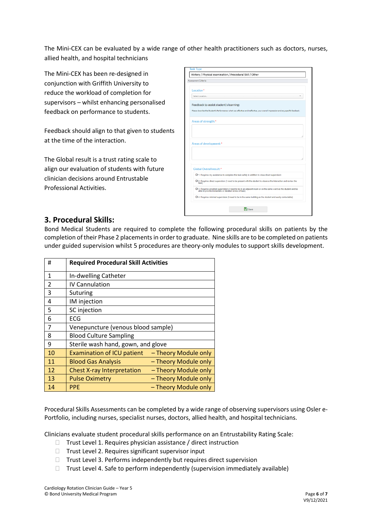The Mini-CEX can be evaluated by a wide range of other health practitioners such as doctors, nurses, allied health, and hospital technicians

The Mini-CEX has been re-designed in conjunction with Griffith University to reduce the workload of completion for supervisors – whilst enhancing personalised feedback on performance to students.

Feedback should align to that given to students at the time of the interaction.

The Global result is a trust rating scale to align our evaluation of students with future clinician decisions around Entrustable Professional Activities.

| Assessment Criteria |                                                                                                                                                                         |
|---------------------|-------------------------------------------------------------------------------------------------------------------------------------------------------------------------|
| Location*           |                                                                                                                                                                         |
| Select Location     |                                                                                                                                                                         |
|                     | Feedback to assist student's learning:                                                                                                                                  |
|                     | Please describe the Student's Performance: what was effective and ineffective, your overall impression and any specific feedback.                                       |
|                     | Areas of strength:*                                                                                                                                                     |
|                     |                                                                                                                                                                         |
|                     |                                                                                                                                                                         |
|                     |                                                                                                                                                                         |
|                     | Areas of development:*                                                                                                                                                  |
|                     |                                                                                                                                                                         |
|                     |                                                                                                                                                                         |
|                     |                                                                                                                                                                         |
|                     | Global Overall result:*                                                                                                                                                 |
|                     | O 1. Requires my assistance to complete this task safely in addition to close direct supervision                                                                        |
| task)               | O 2. Requires direct supervision (I need to be present with the student to observe the interaction and review the                                                       |
|                     | O 3. Requires proximal supervision (I need to be in an adjacent room or on the same ward as the student and be<br>able to provide immediate or detailed review of task) |
|                     | O 4. Requires minimal supervision (I need to be in the same building as the student and easily contactable)                                                             |

#### **3. Procedural Skills:**

Bond Medical Students are required to complete the following procedural skills on patients by the completion of their Phase 2 placements in order to graduate. Nine skills are to be completed on patients under guided supervision whilst 5 procedures are theory-only modules to support skills development.

| #                        | <b>Required Procedural Skill Activities</b> |                      |  |
|--------------------------|---------------------------------------------|----------------------|--|
| $\mathbf{1}$             | In-dwelling Catheter                        |                      |  |
| $\overline{\mathcal{L}}$ | <b>IV Cannulation</b>                       |                      |  |
| 3                        | Suturing                                    |                      |  |
| 4                        | IM injection                                |                      |  |
| 5                        | SC injection                                |                      |  |
| 6                        | ECG                                         |                      |  |
| 7                        | Venepuncture (venous blood sample)          |                      |  |
| 8                        | <b>Blood Culture Sampling</b>               |                      |  |
| 9                        | Sterile wash hand, gown, and glove          |                      |  |
| 10                       | <b>Examination of ICU patient</b>           | - Theory Module only |  |
| 11                       | <b>Blood Gas Analysis</b>                   | - Theory Module only |  |
| 12                       | <b>Chest X-ray Interpretation</b>           | - Theory Module only |  |
| 13                       | <b>Pulse Oximetry</b>                       | - Theory Module only |  |
| 14                       | <b>PPE</b>                                  | - Theory Module only |  |

Procedural Skills Assessments can be completed by a wide range of observing supervisors using Osler e-Portfolio, including nurses, specialist nurses, doctors, allied health, and hospital technicians.

Clinicians evaluate student procedural skills performance on an Entrustability Rating Scale:

- $\Box$  Trust Level 1. Requires physician assistance / direct instruction
- $\Box$  Trust Level 2. Requires significant supervisor input
- $\Box$  Trust Level 3. Performs independently but requires direct supervision
- $\Box$  Trust Level 4. Safe to perform independently (supervision immediately available)